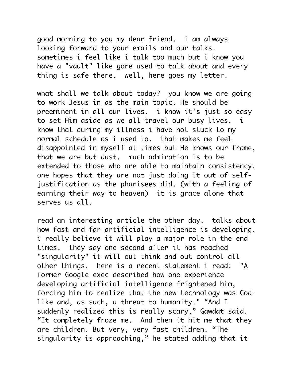good morning to you my dear friend. i am always looking forward to your emails and our talks. sometimes i feel like i talk too much but i know you have a "vault" like gore used to talk about and every thing is safe there. well, here goes my letter.

what shall we talk about today? you know we are going to work Jesus in as the main topic. He should be preeminent in all our lives. i know it's just so easy to set Him aside as we all travel our busy lives. i know that during my illness i have not stuck to my normal schedule as i used to. that makes me feel disappointed in myself at times but He knows our frame, that we are but dust. much admiration is to be extended to those who are able to maintain consistency. one hopes that they are not just doing it out of selfjustification as the pharisees did. (with a feeling of earning their way to heaven) it is grace alone that serves us all.

read an interesting article the other day. talks about how fast and far artificial intelligence is developing. i really believe it will play a major role in the end times. they say one second after it has reached "singularity" it will out think and out control all other things. here is a recent statement i read: "A former Google exec described how one experience developing artificial intelligence frightened him, forcing him to realize that the new technology was Godlike and, as such, a threat to humanity." "And I suddenly realized this is really scary," Gawdat said. "It completely froze me. And then it hit me that they are children. But very, very fast children. "The singularity is approaching," he stated adding that it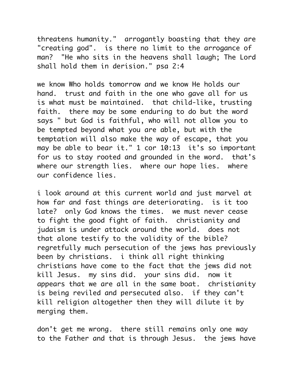threatens humanity." arrogantly boasting that they are "creating god". is there no limit to the arrogance of man? "He who sits in the heavens shall laugh; The Lord shall hold them in derision." psa 2:4

we know Who holds tomorrow and we know He holds our hand. trust and faith in the one who gave all for us is what must be maintained. that child-like, trusting faith. there may be some enduring to do but the word says " but God is faithful, who will not allow you to be tempted beyond what you are able, but with the temptation will also make the way of escape, that you may be able to bear it." 1 cor 10:13 it's so important for us to stay rooted and grounded in the word. that's where our strength lies. where our hope lies. where our confidence lies.

i look around at this current world and just marvel at how far and fast things are deteriorating. is it too late? only God knows the times. we must never cease to fight the good fight of faith. christianity and judaism is under attack around the world. does not that alone testify to the validity of the bible? regretfully much persecution of the jews has previously been by christians. i think all right thinking christians have come to the fact that the jews did not kill Jesus. my sins did. your sins did. now it appears that we are all in the same boat. christianity is being reviled and persecuted also. if they can't kill religion altogether then they will dilute it by merging them.

don't get me wrong. there still remains only one way to the Father and that is through Jesus. the jews have